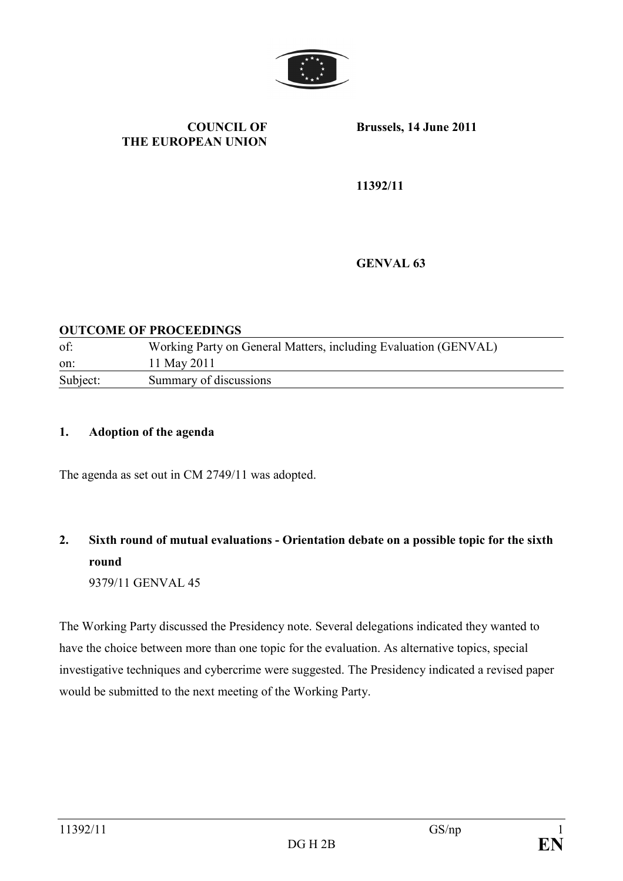

#### COUNCIL OF THE EUROPEAN UNION

Brussels, 14 June 2011

11392/11

GENVAL 63

#### OUTCOME OF PROCEEDINGS

| of:      | Working Party on General Matters, including Evaluation (GENVAL) |
|----------|-----------------------------------------------------------------|
| on:      | 11 May 2011                                                     |
| Subject: | Summary of discussions                                          |

#### 1. Adoption of the agenda

The agenda as set out in CM 2749/11 was adopted.

# 2. Sixth round of mutual evaluations - Orientation debate on a possible topic for the sixth round

9379/11 GENVAL 45

The Working Party discussed the Presidency note. Several delegations indicated they wanted to have the choice between more than one topic for the evaluation. As alternative topics, special investigative techniques and cybercrime were suggested. The Presidency indicated a revised paper would be submitted to the next meeting of the Working Party.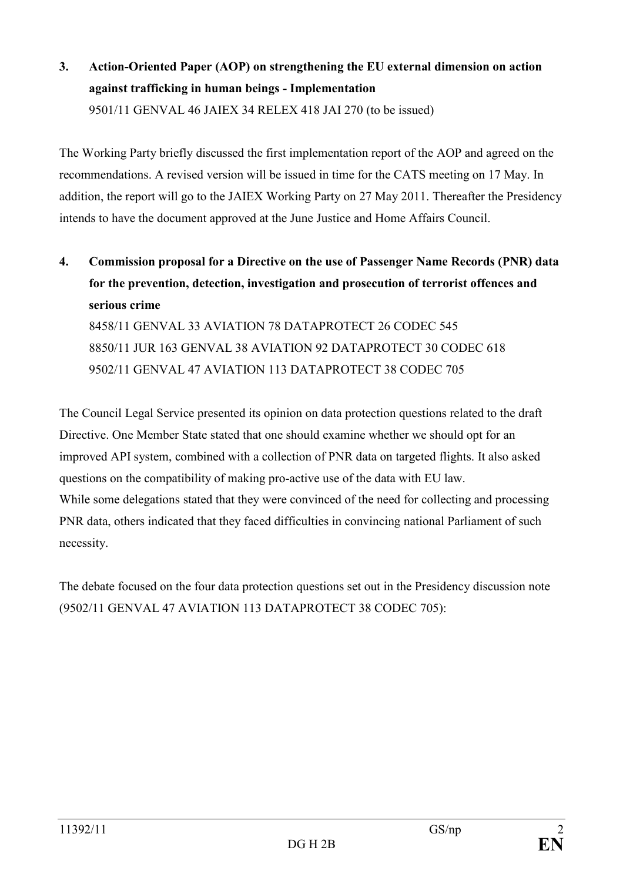3. Action-Oriented Paper (AOP) on strengthening the EU external dimension on action against trafficking in human beings - Implementation 9501/11 GENVAL 46 JAIEX 34 RELEX 418 JAI 270 (to be issued)

The Working Party briefly discussed the first implementation report of the AOP and agreed on the recommendations. A revised version will be issued in time for the CATS meeting on 17 May. In addition, the report will go to the JAIEX Working Party on 27 May 2011. Thereafter the Presidency intends to have the document approved at the June Justice and Home Affairs Council.

4. Commission proposal for a Directive on the use of Passenger Name Records (PNR) data for the prevention, detection, investigation and prosecution of terrorist offences and serious crime 8458/11 GENVAL 33 AVIATION 78 DATAPROTECT 26 CODEC 545 8850/11 JUR 163 GENVAL 38 AVIATION 92 DATAPROTECT 30 CODEC 618 9502/11 GENVAL 47 AVIATION 113 DATAPROTECT 38 CODEC 705

The Council Legal Service presented its opinion on data protection questions related to the draft Directive. One Member State stated that one should examine whether we should opt for an improved API system, combined with a collection of PNR data on targeted flights. It also asked questions on the compatibility of making pro-active use of the data with EU law. While some delegations stated that they were convinced of the need for collecting and processing PNR data, others indicated that they faced difficulties in convincing national Parliament of such necessity.

The debate focused on the four data protection questions set out in the Presidency discussion note (9502/11 GENVAL 47 AVIATION 113 DATAPROTECT 38 CODEC 705):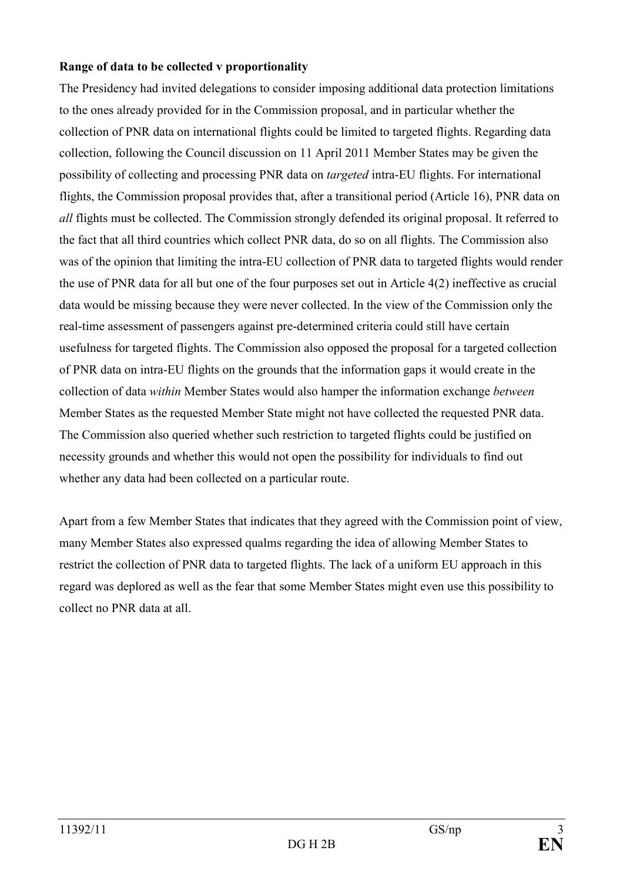## Range of data to be collected v proportionality

The Presidency had invited delegations to consider imposing additional data protection limitations to the ones already provided for in the Commission proposal, and in particular whether the collection of PNR data on international flights could be limited to targeted flights. Regarding data collection, following the Council discussion on 11 April 2011 Member States may be given the possibility of collecting and processing PNR data on targeted intra-EU flights. For international flights, the Commission proposal provides that, after a transitional period (Article 16), PNR data on all flights must be collected. The Commission strongly defended its original proposal. It referred to the fact that all third countries which collect PNR data, do so on all flights. The Commission also was of the opinion that limiting the intra-EU collection of PNR data to targeted flights would render the use of PNR data for all but one of the four purposes set out in Article 4(2) ineffective as crucial data would be missing because they were never collected. In the view of the Commission only the real-time assessment of passengers against pre-determined criteria could still have certain usefulness for targeted flights. The Commission also opposed the proposal for a targeted collection of PNR data on intra-EU flights on the grounds that the information gaps it would create in the collection of data within Member States would also hamper the information exchange between Member States as the requested Member State might not have collected the requested PNR data. The Commission also queried whether such restriction to targeted flights could be justified on necessity grounds and whether this would not open the possibility for individuals to find out whether any data had been collected on a particular route.

Apart from a few Member States that indicates that they agreed with the Commission point of view, many Member States also expressed qualms regarding the idea of allowing Member States to restrict the collection of PNR data to targeted flights. The lack of a uniform EU approach in this regard was deplored as well as the fear that some Member States might even use this possibility to collect no PNR data at all.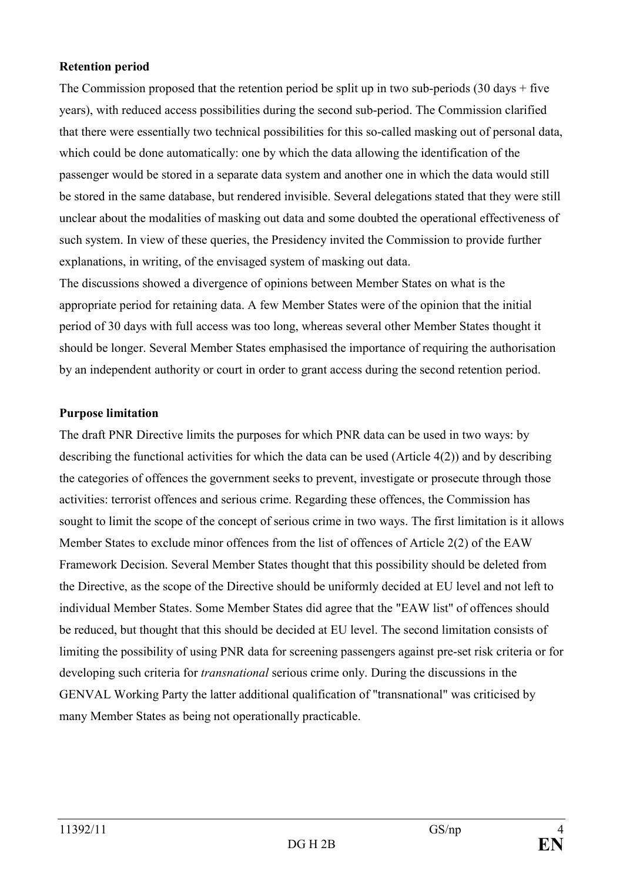## Retention period

The Commission proposed that the retention period be split up in two sub-periods  $(30 \text{ days} + \text{five}$ years), with reduced access possibilities during the second sub-period. The Commission clarified that there were essentially two technical possibilities for this so-called masking out of personal data, which could be done automatically: one by which the data allowing the identification of the passenger would be stored in a separate data system and another one in which the data would still be stored in the same database, but rendered invisible. Several delegations stated that they were still unclear about the modalities of masking out data and some doubted the operational effectiveness of such system. In view of these queries, the Presidency invited the Commission to provide further explanations, in writing, of the envisaged system of masking out data.

The discussions showed a divergence of opinions between Member States on what is the appropriate period for retaining data. A few Member States were of the opinion that the initial period of 30 days with full access was too long, whereas several other Member States thought it should be longer. Several Member States emphasised the importance of requiring the authorisation by an independent authority or court in order to grant access during the second retention period.

## Purpose limitation

The draft PNR Directive limits the purposes for which PNR data can be used in two ways: by describing the functional activities for which the data can be used (Article 4(2)) and by describing the categories of offences the government seeks to prevent, investigate or prosecute through those activities: terrorist offences and serious crime. Regarding these offences, the Commission has sought to limit the scope of the concept of serious crime in two ways. The first limitation is it allows Member States to exclude minor offences from the list of offences of Article 2(2) of the EAW Framework Decision. Several Member States thought that this possibility should be deleted from the Directive, as the scope of the Directive should be uniformly decided at EU level and not left to individual Member States. Some Member States did agree that the "EAW list" of offences should be reduced, but thought that this should be decided at EU level. The second limitation consists of limiting the possibility of using PNR data for screening passengers against pre-set risk criteria or for developing such criteria for *transnational* serious crime only. During the discussions in the GENVAL Working Party the latter additional qualification of "transnational" was criticised by many Member States as being not operationally practicable.